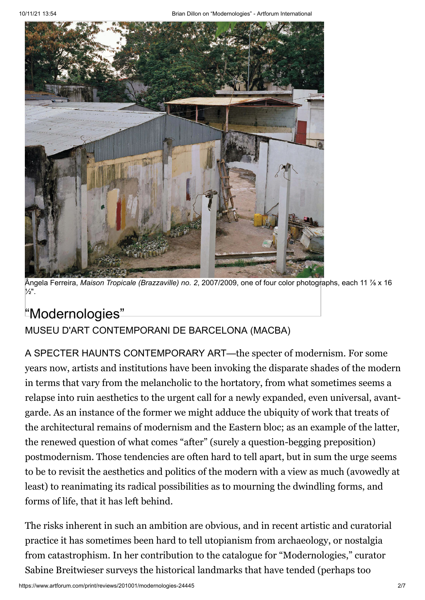

Ângela Ferreira, *Maison Tropicale (Brazzaville) no. 2*, 2007/2009, one of four color photographs, each 11 7⁄8 x 16 1⁄2".

# ["Modernologies"](https://www.artforum.com/print/reviews/201001/modernologies-24445)

## [MUSEU D'ART CONTEMPORANI DE BARCELONA \(MACBA\)](https://www.artforum.com/artguide/museu-d-art-contemporani-de-barcelona-macba-613)

A SPECTER HAUNTS CONTEMPORARY ART—the specter of modernism. For some years now, artists and institutions have been invoking the disparate shades of the modern in terms that vary from the melancholic to the hortatory, from what sometimes seems a relapse into ruin aesthetics to the urgent call for a newly expanded, even universal, avantgarde. As an instance of the former we might adduce the ubiquity of work that treats of the architectural remains of modernism and the Eastern bloc; as an example of the latter, the renewed question of what comes "after" (surely a question-begging preposition) postmodernism. Those tendencies are often hard to tell apart, but in sum the urge seems to be to revisit the aesthetics and politics of the modern with a view as much (avowedly at least) to reanimating its radical possibilities as to mourning the dwindling forms, and forms of life, that it has left behind.

The risks inherent in such an ambition are obvious, and in recent artistic and curatorial practice it has sometimes been hard to tell utopianism from archaeology, or nostalgia from catastrophism. In her contribution to the catalogue for "Modernologies," curator Sabine Breitwieser surveys the historical landmarks that have tended (perhaps too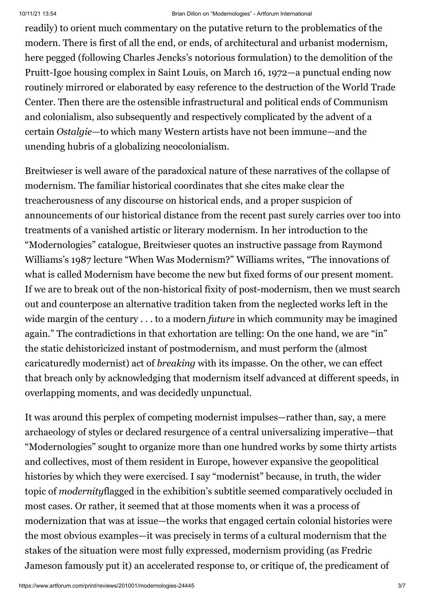readily) to orient much commentary on the putative return to the problematics of the modern. There is first of all the end, or ends, of architectural and urbanist modernism, here pegged (following Charles Jencks's notorious formulation) to the demolition of the Pruitt-Igoe housing complex in Saint Louis, on March 16, 1972—a punctual ending now routinely mirrored or elaborated by easy reference to the destruction of the World Trade Center. Then there are the ostensible infrastructural and political ends of Communism and colonialism, also subsequently and respectively complicated by the advent of a certain *Ostalgie*—to which many Western artists have not been immune—and the unending hubris of a globalizing neocolonialism.

Breitwieser is well aware of the paradoxical nature of these narratives of the collapse of modernism. The familiar historical coordinates that she cites make clear the treacherousness of any discourse on historical ends, and a proper suspicion of announcements of our historical distance from the recent past surely carries over too into treatments of a vanished artistic or literary modernism. In her introduction to the "Modernologies" catalogue, Breitwieser quotes an instructive passage from Raymond Williams's 1987 lecture "When Was Modernism?" Williams writes, "The innovations of what is called Modernism have become the new but fixed forms of our present moment. If we are to break out of the non-historical fixity of post-modernism, then we must search out and counterpose an alternative tradition taken from the neglected works left in the wide margin of the century . . . to a modern *future* in which community may be imagined again." The contradictions in that exhortation are telling: On the one hand, we are "in" the static dehistoricized instant of postmodernism, and must perform the (almost caricaturedly modernist) act of *breaking* with its impasse. On the other, we can effect that breach only by acknowledging that modernism itself advanced at different speeds, in overlapping moments, and was decidedly unpunctual.

It was around this perplex of competing modernist impulses—rather than, say, a mere archaeology of styles or declared resurgence of a central universalizing imperative—that "Modernologies" sought to organize more than one hundred works by some thirty artists and collectives, most of them resident in Europe, however expansive the geopolitical histories by which they were exercised. I say "modernist" because, in truth, the wider topic of *modernity*flagged in the exhibition's subtitle seemed comparatively occluded in most cases. Or rather, it seemed that at those moments when it was a process of modernization that was at issue—the works that engaged certain colonial histories were the most obvious examples—it was precisely in terms of a cultural modernism that the stakes of the situation were most fully expressed, modernism providing (as Fredric Jameson famously put it) an accelerated response to, or critique of, the predicament of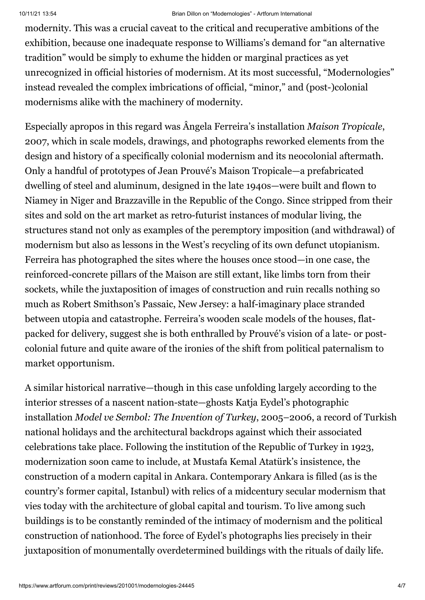#### 10/11/21 13:54 Brian Dillon on "Modernologies" - Artforum International

modernity. This was a crucial caveat to the critical and recuperative ambitions of the exhibition, because one inadequate response to Williams's demand for "an alternative tradition" would be simply to exhume the hidden or marginal practices as yet unrecognized in official histories of modernism. At its most successful, "Modernologies" instead revealed the complex imbrications of official, "minor," and (post-)colonial modernisms alike with the machinery of modernity.

Especially apropos in this regard was Ângela Ferreira's installation *Maison Tropicale*, 2007, which in scale models, drawings, and photographs reworked elements from the design and history of a specifically colonial modernism and its neocolonial aftermath. Only a handful of prototypes of Jean Prouvé's Maison Tropicale—a prefabricated dwelling of steel and aluminum, designed in the late 1940s—were built and flown to Niamey in Niger and Brazzaville in the Republic of the Congo. Since stripped from their sites and sold on the art market as retro-futurist instances of modular living, the structures stand not only as examples of the peremptory imposition (and withdrawal) of modernism but also as lessons in the West's recycling of its own defunct utopianism. Ferreira has photographed the sites where the houses once stood—in one case, the reinforced-concrete pillars of the Maison are still extant, like limbs torn from their sockets, while the juxtaposition of images of construction and ruin recalls nothing so much as Robert Smithson's Passaic, New Jersey: a half-imaginary place stranded between utopia and catastrophe. Ferreira's wooden scale models of the houses, flatpacked for delivery, suggest she is both enthralled by Prouvé's vision of a late- or postcolonial future and quite aware of the ironies of the shift from political paternalism to market opportunism.

A similar historical narrative—though in this case unfolding largely according to the interior stresses of a nascent nation-state—ghosts Katja Eydel's photographic installation *Model ve Sembol: The Invention of Turkey*, 2005–2006, a record of Turkish national holidays and the architectural backdrops against which their associated celebrations take place. Following the institution of the Republic of Turkey in 1923, modernization soon came to include, at Mustafa Kemal Atatürk's insistence, the construction of a modern capital in Ankara. Contemporary Ankara is filled (as is the country's former capital, Istanbul) with relics of a midcentury secular modernism that vies today with the architecture of global capital and tourism. To live among such buildings is to be constantly reminded of the intimacy of modernism and the political construction of nationhood. The force of Eydel's photographs lies precisely in their juxtaposition of monumentally overdetermined buildings with the rituals of daily life.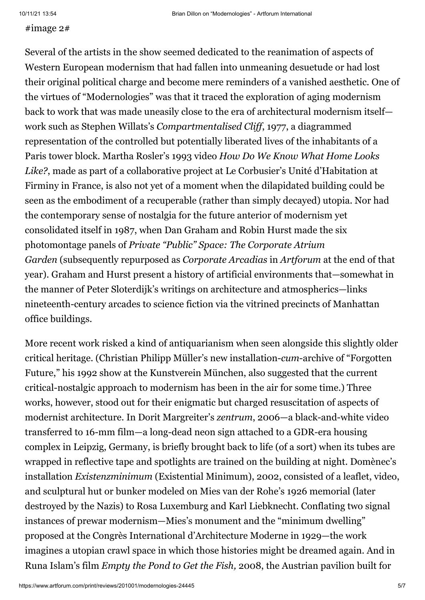### #image 2#

Several of the artists in the show seemed dedicated to the reanimation of aspects of Western European modernism that had fallen into unmeaning desuetude or had lost their original political charge and become mere reminders of a vanished aesthetic. One of the virtues of "Modernologies" was that it traced the exploration of aging modernism back to work that was made uneasily close to the era of architectural modernism itself work such as Stephen Willats's *Compartmentalised Cliff*, 1977, a diagrammed representation of the controlled but potentially liberated lives of the inhabitants of a Paris tower block. Martha Rosler's 1993 video *How Do We Know What Home Looks Like?*, made as part of a collaborative project at Le Corbusier's Unité d'Habitation at Firminy in France, is also not yet of a moment when the dilapidated building could be seen as the embodiment of a recuperable (rather than simply decayed) utopia. Nor had the contemporary sense of nostalgia for the future anterior of modernism yet consolidated itself in 1987, when Dan Graham and Robin Hurst made the six photomontage panels of *Private "Public" Space: The Corporate Atrium Garden* (subsequently repurposed as *Corporate Arcadias* in *Artforum* at the end of that year). Graham and Hurst present a history of artificial environments that—somewhat in the manner of Peter Sloterdijk's writings on architecture and atmospherics—links nineteenth-century arcades to science fiction via the vitrined precincts of Manhattan office buildings.

More recent work risked a kind of antiquarianism when seen alongside this slightly older critical heritage. (Christian Philipp Müller's new installation-*cum*-archive of "Forgotten Future," his 1992 show at the Kunstverein München, also suggested that the current critical-nostalgic approach to modernism has been in the air for some time.) Three works, however, stood out for their enigmatic but charged resuscitation of aspects of modernist architecture. In Dorit Margreiter's *zentrum*, 2006—a black-and-white video transferred to 16-mm film—a long-dead neon sign attached to a GDR-era housing complex in Leipzig, Germany, is briefly brought back to life (of a sort) when its tubes are wrapped in reflective tape and spotlights are trained on the building at night. Domènec's installation *Existenzminimum* (Existential Minimum), 2002, consisted of a leaflet, video, and sculptural hut or bunker modeled on Mies van der Rohe's 1926 memorial (later destroyed by the Nazis) to Rosa Luxemburg and Karl Liebknecht. Conflating two signal instances of prewar modernism—Mies's monument and the "minimum dwelling" proposed at the Congrès International d'Architecture Moderne in 1929—the work imagines a utopian crawl space in which those histories might be dreamed again. And in Runa Islam's film *Empty the Pond to Get the Fish,* 2008, the Austrian pavilion built for